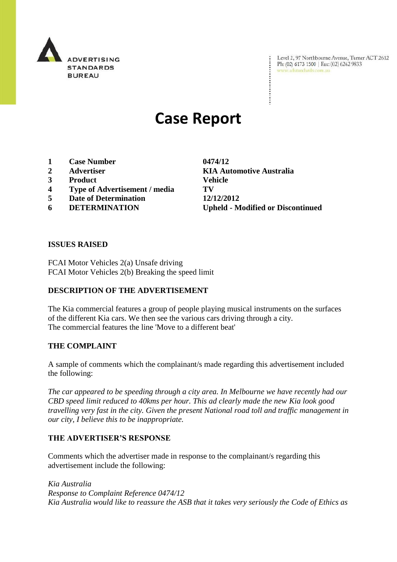

Level 2, 97 Northbourne Avenue, Turner ACT 2612<br>Ph:  $(02)$  6173 1500 | Fax:  $(02)$  6262 9833 www.adstandards.com.au

# **Case Report**

- **1 Case Number 0474/12**
- 
- **3 Product Vehicle**
- **4 Type of Advertisement / media TV**
- **5 Date of Determination 12/12/2012**
- 

**2 Advertiser KIA Automotive Australia 6 DETERMINATION Upheld - Modified or Discontinued**

#### **ISSUES RAISED**

FCAI Motor Vehicles 2(a) Unsafe driving FCAI Motor Vehicles 2(b) Breaking the speed limit

### **DESCRIPTION OF THE ADVERTISEMENT**

The Kia commercial features a group of people playing musical instruments on the surfaces of the different Kia cars. We then see the various cars driving through a city. The commercial features the line 'Move to a different beat'

### **THE COMPLAINT**

A sample of comments which the complainant/s made regarding this advertisement included the following:

*The car appeared to be speeding through a city area. In Melbourne we have recently had our CBD speed limit reduced to 40kms per hour. This ad clearly made the new Kia look good travelling very fast in the city. Given the present National road toll and traffic management in our city, I believe this to be inappropriate.*

### **THE ADVERTISER'S RESPONSE**

Comments which the advertiser made in response to the complainant/s regarding this advertisement include the following:

*Kia Australia Response to Complaint Reference 0474/12 Kia Australia would like to reassure the ASB that it takes very seriously the Code of Ethics as*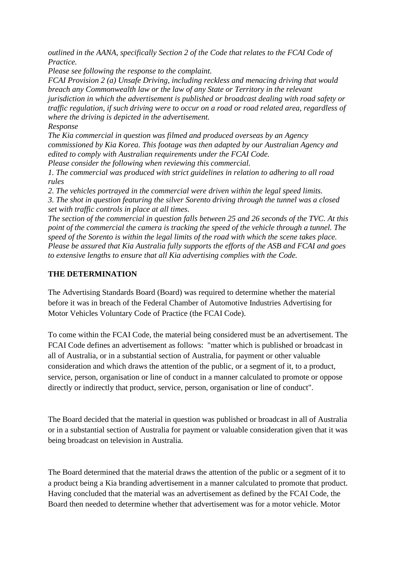*outlined in the AANA, specifically Section 2 of the Code that relates to the FCAI Code of Practice.*

*Please see following the response to the complaint.*

*FCAI Provision 2 (a) Unsafe Driving, including reckless and menacing driving that would breach any Commonwealth law or the law of any State or Territory in the relevant jurisdiction in which the advertisement is published or broadcast dealing with road safety or traffic regulation, if such driving were to occur on a road or road related area, regardless of where the driving is depicted in the advertisement.*

*Response*

*The Kia commercial in question was filmed and produced overseas by an Agency commissioned by Kia Korea. This footage was then adapted by our Australian Agency and edited to comply with Australian requirements under the FCAI Code.*

*Please consider the following when reviewing this commercial.*

*1. The commercial was produced with strict guidelines in relation to adhering to all road rules*

*2. The vehicles portrayed in the commercial were driven within the legal speed limits. 3. The shot in question featuring the silver Sorento driving through the tunnel was a closed set with traffic controls in place at all times.*

*The section of the commercial in question falls between 25 and 26 seconds of the TVC. At this point of the commercial the camera is tracking the speed of the vehicle through a tunnel. The speed of the Sorento is within the legal limits of the road with which the scene takes place. Please be assured that Kia Australia fully supports the efforts of the ASB and FCAI and goes to extensive lengths to ensure that all Kia advertising complies with the Code.*

### **THE DETERMINATION**

The Advertising Standards Board (Board) was required to determine whether the material before it was in breach of the Federal Chamber of Automotive Industries Advertising for Motor Vehicles Voluntary Code of Practice (the FCAI Code).

To come within the FCAI Code, the material being considered must be an advertisement. The FCAI Code defines an advertisement as follows: "matter which is published or broadcast in all of Australia, or in a substantial section of Australia, for payment or other valuable consideration and which draws the attention of the public, or a segment of it, to a product, service, person, organisation or line of conduct in a manner calculated to promote or oppose directly or indirectly that product, service, person, organisation or line of conduct".

The Board decided that the material in question was published or broadcast in all of Australia or in a substantial section of Australia for payment or valuable consideration given that it was being broadcast on television in Australia.

The Board determined that the material draws the attention of the public or a segment of it to a product being a Kia branding advertisement in a manner calculated to promote that product. Having concluded that the material was an advertisement as defined by the FCAI Code, the Board then needed to determine whether that advertisement was for a motor vehicle. Motor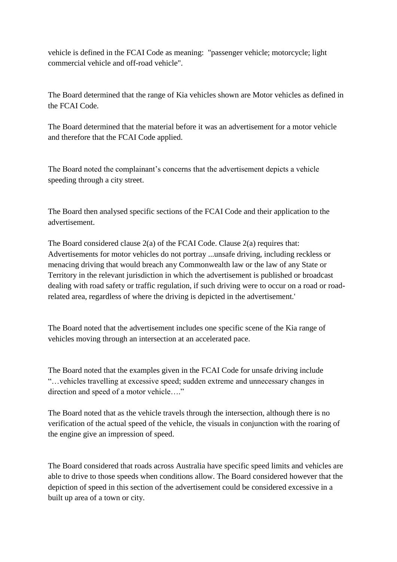vehicle is defined in the FCAI Code as meaning: "passenger vehicle; motorcycle; light commercial vehicle and off-road vehicle".

The Board determined that the range of Kia vehicles shown are Motor vehicles as defined in the FCAI Code.

The Board determined that the material before it was an advertisement for a motor vehicle and therefore that the FCAI Code applied.

The Board noted the complainant's concerns that the advertisement depicts a vehicle speeding through a city street.

The Board then analysed specific sections of the FCAI Code and their application to the advertisement.

The Board considered clause  $2(a)$  of the FCAI Code. Clause  $2(a)$  requires that: Advertisements for motor vehicles do not portray ...unsafe driving, including reckless or menacing driving that would breach any Commonwealth law or the law of any State or Territory in the relevant jurisdiction in which the advertisement is published or broadcast dealing with road safety or traffic regulation, if such driving were to occur on a road or roadrelated area, regardless of where the driving is depicted in the advertisement.'

The Board noted that the advertisement includes one specific scene of the Kia range of vehicles moving through an intersection at an accelerated pace.

The Board noted that the examples given in the FCAI Code for unsafe driving include "…vehicles travelling at excessive speed; sudden extreme and unnecessary changes in direction and speed of a motor vehicle…."

The Board noted that as the vehicle travels through the intersection, although there is no verification of the actual speed of the vehicle, the visuals in conjunction with the roaring of the engine give an impression of speed.

The Board considered that roads across Australia have specific speed limits and vehicles are able to drive to those speeds when conditions allow. The Board considered however that the depiction of speed in this section of the advertisement could be considered excessive in a built up area of a town or city.